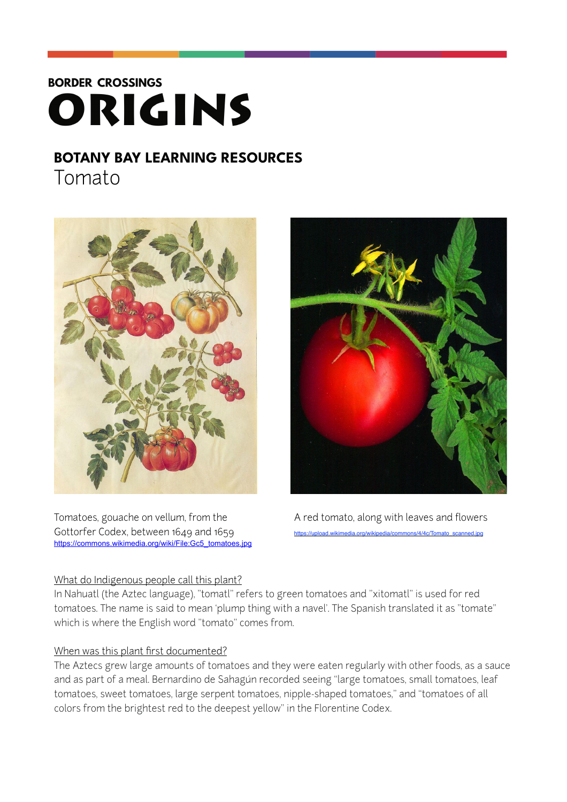# **BORDER CROSSINGS** ORIGINS

### **BOTANY BAY LEARNING RESOURCES**  Tomato



Tomatoes, gouache on vellum, from the A red tomato, along with leaves and flowers Gottorfer Codex, between 1649 and 1659 [https://commons.wikimedia.org/wiki/File:Gc5\\_tomatoes.jpg](https://commons.wikimedia.org/wiki/File:Gc5_tomatoes.jpg)

## What do Indigenous people call this plant?



In Nahuatl (the Aztec language), "tomatl" refers to green tomatoes and "xitomatl" is used for red tomatoes. The name is said to mean 'plump thing with a navel'. The Spanish translated it as "tomate" which is where the English word "tomato" comes from.

#### When was this plant first documented?

The Aztecs grew large amounts of tomatoes and they were eaten regularly with other foods, as a sauce and as part of a meal. Bernardino de Sahagún recorded seeing "large tomatoes, small tomatoes, leaf tomatoes, sweet tomatoes, large serpent tomatoes, nipple-shaped tomatoes," and "tomatoes of all colors from the brightest red to the deepest yellow" in the Florentine Codex.